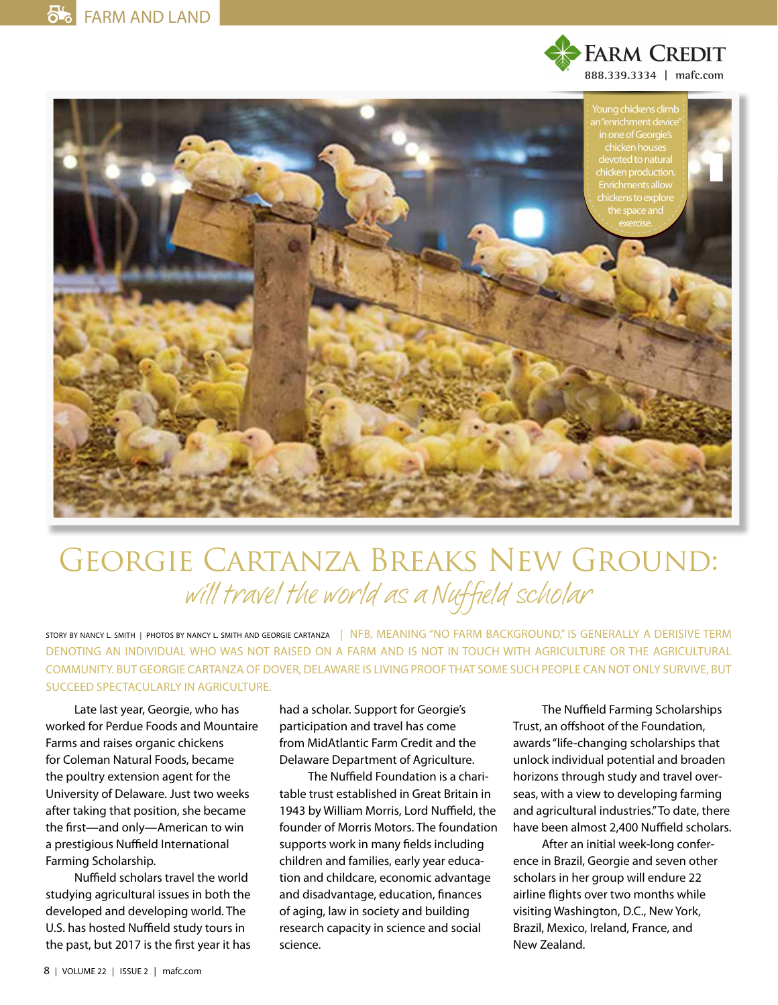



## Georgie Cartanza Breaks New Ground: will travel the world as a Nuffield scholar

STORY BY NANCY L. SMITH | PHOTOS BY NANCY L. SMITH AND GEORGIE CARTANZA | NFB, MEANING "NO FARM BACKGROUND," IS GENERALLY A DERISIVE TERM DENOTING AN INDIVIDUAL WHO WAS NOT RAISED ON A FARM AND IS NOT IN TOUCH WITH AGRICULTURE OR THE AGRICULTURAL COMMUNITY. BUT GEORGIE CARTANZA OF DOVER, DELAWARE IS LIVING PROOF THAT SOME SUCH PEOPLE CAN NOT ONLY SURVIVE, BUT SUCCEED SPECTACULARLY IN AGRICULTURE.

Late last year, Georgie, who has worked for Perdue Foods and Mountaire Farms and raises organic chickens for Coleman Natural Foods, became the poultry extension agent for the University of Delaware. Just two weeks after taking that position, she became the frst—and only—American to win a prestigious Nuffield International Farming Scholarship.

Nuffield scholars travel the world studying agricultural issues in both the developed and developing world. The U.S. has hosted Nuffield study tours in the past, but 2017 is the frst year it has

had a scholar. Support for Georgie's participation and travel has come from MidAtlantic Farm Credit and the Delaware Department of Agriculture.

The Nuffield Foundation is a charitable trust established in Great Britain in 1943 by William Morris, Lord Nuffield, the founder of Morris Motors. The foundation supports work in many felds including children and families, early year education and childcare, economic advantage and disadvantage, education, fnances of aging, law in society and building research capacity in science and social science.

The Nuffield Farming Scholarships Trust, an offshoot of the Foundation, awards "life-changing scholarships that unlock individual potential and broaden horizons through study and travel overseas, with a view to developing farming and agricultural industries." To date, there have been almost 2,400 Nuffield scholars.

After an initial week-long conference in Brazil, Georgie and seven other scholars in her group will endure 22 airline fights over two months while visiting Washington, D.C., New York, Brazil, Mexico, Ireland, France, and New Zealand.